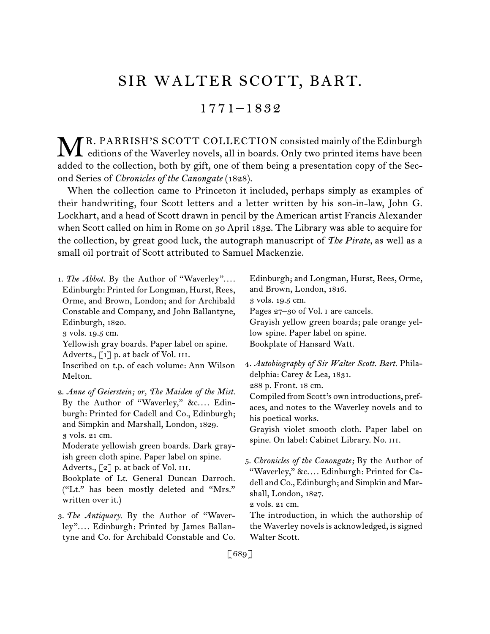# SIR WALTER SCOTT, BART.

# 1771–1832

R. PARRISH'S SCOTT COLLECTION consisted mainly of the Edinburgh MR. PARRISH'S SCOTT COLLECTION consisted mainly of the Edinburgh<br>editions of the Waverley novels, all in boards. Only two printed items have been added to the collection, both by gift, one of them being a presentation copy of the Second Series of *Chronicles of the Canongate* (1828).

When the collection came to Princeton it included, perhaps simply as examples of their handwriting, four Scott letters and a letter written by his son-in-law, John G. Lockhart, and a head of Scott drawn in pencil by the American artist Francis Alexander when Scott called on him in Rome on 30 April 1832. The Library was able to acquire for the collection, by great good luck, the autograph manuscript of *The Pirate,* as well as a small oil portrait of Scott attributed to Samuel Mackenzie.

| 1. The Abbot. By the Author of "Waverley"<br>Edinburgh: Printed for Longman, Hurst, Rees,<br>Orme, and Brown, London; and for Archibald<br>Constable and Company, and John Ballantyne,                                                                   | Edinburgh; and Longman, Hurst, Rees, Orme,<br>and Brown, London, 1816.<br>3 vols. 19.5 cm.<br>Pages 27-30 of Vol. 1 are cancels.                                                                                                            |
|----------------------------------------------------------------------------------------------------------------------------------------------------------------------------------------------------------------------------------------------------------|---------------------------------------------------------------------------------------------------------------------------------------------------------------------------------------------------------------------------------------------|
| Edinburgh, 1820.                                                                                                                                                                                                                                         | Grayish yellow green boards; pale orange yel-                                                                                                                                                                                               |
| 3 vols. 19.5 cm.                                                                                                                                                                                                                                         | low spine. Paper label on spine.                                                                                                                                                                                                            |
| Yellowish gray boards. Paper label on spine.<br>Adverts., [1] p. at back of Vol. III.                                                                                                                                                                    | Bookplate of Hansard Watt.                                                                                                                                                                                                                  |
| Inscribed on t.p. of each volume: Ann Wilson                                                                                                                                                                                                             | 4. Autobiography of Sir Walter Scott. Bart. Phila-                                                                                                                                                                                          |
| Melton.                                                                                                                                                                                                                                                  | delphia: Carey & Lea, 1831.                                                                                                                                                                                                                 |
| 2. Anne of Geierstein; or, The Maiden of the Mist.<br>By the Author of "Waverley," &c Edin-<br>burgh: Printed for Cadell and Co., Edinburgh;<br>and Simpkin and Marshall, London, 1829.<br>3 vols. 21 cm.<br>Moderate yellowish green boards. Dark gray- | 288 p. Front. 18 cm.<br>Compiled from Scott's own introductions, pref-<br>aces, and notes to the Waverley novels and to<br>his poetical works.<br>Grayish violet smooth cloth. Paper label on<br>spine. On label: Cabinet Library. No. III. |
| ish green cloth spine. Paper label on spine.<br>Adverts., [2] p. at back of Vol. III.<br>Bookplate of Lt. General Duncan Darroch.<br>("Lt." has been mostly deleted and "Mrs."<br>written over it.)                                                      | 5. Chronicles of the Canongate; By the Author of<br>"Waverley," &c Edinburgh: Printed for Ca-<br>dell and Co., Edinburgh; and Simpkin and Mar-<br>shall, London, 1827.<br>2 vols. 21 cm.                                                    |
| 3. The Antiquary. By the Author of "Waver-                                                                                                                                                                                                               | The introduction, in which the authorship of                                                                                                                                                                                                |
| ley" Edinburgh: Printed by James Ballan-                                                                                                                                                                                                                 | the Waverley novels is acknowledged, is signed                                                                                                                                                                                              |
| tyne and Co. for Archibald Constable and Co.                                                                                                                                                                                                             | Walter Scott.                                                                                                                                                                                                                               |

[689]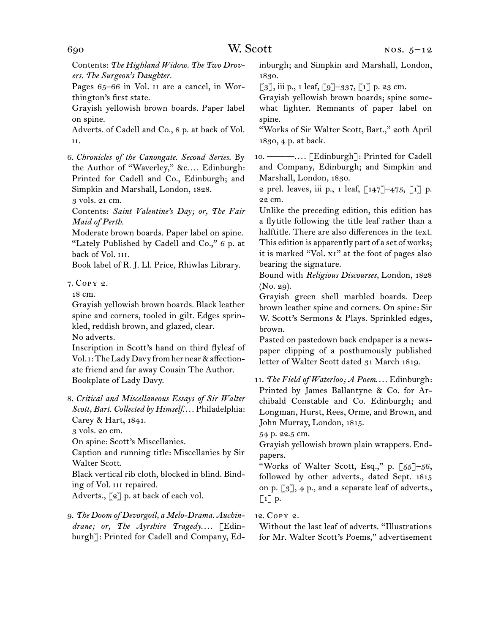Contents: *The Highland Widow. The Two Drovers. The Surgeon's Daughter.*

Pages 65–66 in Vol. II are a cancel, in Worthington's first state.

Grayish yellowish brown boards. Paper label on spine.

Adverts. of Cadell and Co., 8 p. at back of Vol. ii.

6. *Chronicles of the Canongate. Second Series.* By the Author of "Waverley," &c.... Edinburgh: Printed for Cadell and Co., Edinburgh; and Simpkin and Marshall, London, 1828.

3 vols. 21 cm.

Contents: *Saint Valentine's Day; or, The Fair Maid of Perth.*

Moderate brown boards. Paper label on spine. "Lately Published by Cadell and Co.," 6 p. at back of Vol. III.

Book label of R. J. Ll. Price, Rhiwlas Library.

## 7. Copy 2.

18 cm.

Grayish yellowish brown boards. Black leather spine and corners, tooled in gilt. Edges sprinkled, reddish brown, and glazed, clear.

No adverts.

Inscription in Scott's hand on third flyleaf of Vol. i: The Lady Davy from her near & affectionate friend and far away Cousin The Author. Bookplate of Lady Davy.

8. *Critical and Miscellaneous Essays of Sir Walter*  Scott, Bart. Collected by Himself.... Philadelphia: Carey & Hart, 1841.

3 vols. 20 cm.

On spine: Scott's Miscellanies.

Caption and running title: Miscellanies by Sir Walter Scott.

Black vertical rib cloth, blocked in blind. Binding of Vol. iii repaired.

Adverts., [2] p. at back of each vol.

9. *The Doom of Devorgoil, a Melo-Drama. Auchin*drane; or, The Ayrshire Tragedy.... [Edinburgh]: Printed for Cadell and Company, Edinburgh; and Simpkin and Marshall, London, 1830.

[3], iii p., 1 leaf, [9]–337, [1] p. 23 cm.

Grayish yellowish brown boards; spine somewhat lighter. Remnants of paper label on spine.

"Works of Sir Walter Scott, Bart.," 20th April 1830, 4 p. at back.

10. ———. . . . [Edinburgh]: Printed for Cadell and Company, Edinburgh; and Simpkin and Marshall, London, 1830.

2 prel. leaves, iii p., 1 leaf, [147]–475, [1] p. 22 cm.

Unlike the preceding edition, this edition has a flytitle following the title leaf rather than a halftitle. There are also differences in the text. This edition is apparently part of a set of works; it is marked "Vol. xi" at the foot of pages also bearing the signature.

Bound with *Religious Discourses,* London, 1828 (No. 29).

Grayish green shell marbled boards. Deep brown leather spine and corners. On spine: Sir W. Scott's Sermons & Plays. Sprinkled edges, brown.

Pasted on pastedown back endpaper is a newspaper clipping of a posthumously published letter of Walter Scott dated 31 March 1819.

11. *The Field of Waterloo; A Poem...*. Edinburgh: Printed by James Ballantyne & Co. for Archibald Constable and Co. Edinburgh; and Longman, Hurst, Rees, Orme, and Brown, and John Murray, London, 1815.

54 p. 22.5 cm.

Grayish yellowish brown plain wrappers. Endpapers.

"Works of Walter Scott, Esq.," p.  $\lceil 55 \rceil - 56$ , followed by other adverts., dated Sept. 1815 on p. [3], 4 p., and a separate leaf of adverts.,  $\lceil 1 \rceil$  p.

# 12. Copy 2.

Without the last leaf of adverts. "Illustrations for Mr. Walter Scott's Poems," advertisement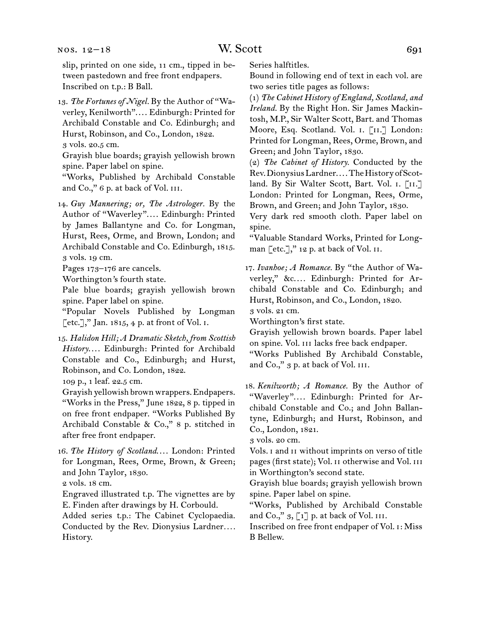#### $NOS. 12-18$

slip, printed on one side, 11 cm., tipped in between pastedown and free front endpapers. Inscribed on t.p.: B Ball.

13. *The Fortunes of Nigel.* By the Author of "Waverley, Kenilworth".... Edinburgh: Printed for Archibald Constable and Co. Edinburgh; and Hurst, Robinson, and Co., London, 1822. 3 vols. 20.5 cm.

Grayish blue boards; grayish yellowish brown spine. Paper label on spine.

"Works, Published by Archibald Constable and Co.," 6 p. at back of Vol. III.

14. *Guy Mannering; or, The Astrologer.* By the Author of "Waverley".... Edinburgh: Printed by James Ballantyne and Co. for Longman, Hurst, Rees, Orme, and Brown, London; and Archibald Constable and Co. Edinburgh, 1815. 3 vols. 19 cm.

Pages 173–176 are cancels.

Worthington*'*s fourth state.

Pale blue boards; grayish yellowish brown spine. Paper label on spine.

"Popular Novels Published by Longman  $[etc.]$ ," Jan. 1815, 4 p. at front of Vol. I.

15. *Halidon Hill; A Dramatic Sketch, from Scottish*  History.... Edinburgh: Printed for Archibald Constable and Co., Edinburgh; and Hurst, Robinson, and Co. London, 1822.

109 p., 1 leaf. 22.5 cm.

Grayish yellowish brown wrappers. Endpapers. "Works in the Press," June 1822, 8 p. tipped in on free front endpaper. "Works Published By Archibald Constable & Co.," 8 p. stitched in after free front endpaper.

16. *The History of Scotland....* London: Printed for Longman, Rees, Orme, Brown, & Green; and John Taylor, 1830.

2 vols. 18 cm.

Engraved illustrated t.p. The vignettes are by E. Finden after drawings by H. Corbould.

Added series t.p.: The Cabinet Cyclopaedia. Conducted by the Rev. Dionysius Lardner*. . . .* History.

Series halftitles.

Bound in following end of text in each vol. are two series title pages as follows:

(1) *The Cabinet History of England, Scotland, and Ireland.* By the Right Hon. Sir James Mackintosh, M.P., Sir Walter Scott, Bart. and Thomas Moore, Esq. Scotland. Vol. i. [ii.] London: Printed for Longman, Rees, Orme, Brown, and Green; and John Taylor, 1830.

(2) *The Cabinet of History.* Conducted by the Rev. Dionysius Lardner.... The History of Scotland. By Sir Walter Scott, Bart. Vol. I. [II.] London: Printed for Longman, Rees, Orme, Brown, and Green; and John Taylor, 1830.

Very dark red smooth cloth. Paper label on spine.

"Valuable Standard Works, Printed for Longman  $[\text{etc.}],$ " 12 p. at back of Vol. II.

17. *Ivanhoe; A Romance.* By "the Author of Waverley," &c.... Edinburgh: Printed for Archibald Constable and Co. Edinburgh; and Hurst, Robinson, and Co., London, 1820. 3 vols. 21 cm.

Worthington's first state.

Grayish yellowish brown boards. Paper label on spine. Vol. iii lacks free back endpaper. "Works Published By Archibald Constable, and Co.," 3 p. at back of Vol. III.

18. *Kenilworth; A Romance.* By the Author of "Waverley".... Edinburgh: Printed for Ar-

chibald Constable and Co.; and John Ballantyne, Edinburgh; and Hurst, Robinson, and Co., London, 1821.

3 vols. 20 cm.

Vols. i and ii without imprints on verso of title pages (first state); Vol. II otherwise and Vol. III in Worthington's second state.

Grayish blue boards; grayish yellowish brown spine. Paper label on spine.

"Works, Published by Archibald Constable and Co.,"  $3, [1]$  p. at back of Vol. III.

Inscribed on free front endpaper of Vol. i: Miss B Bellew.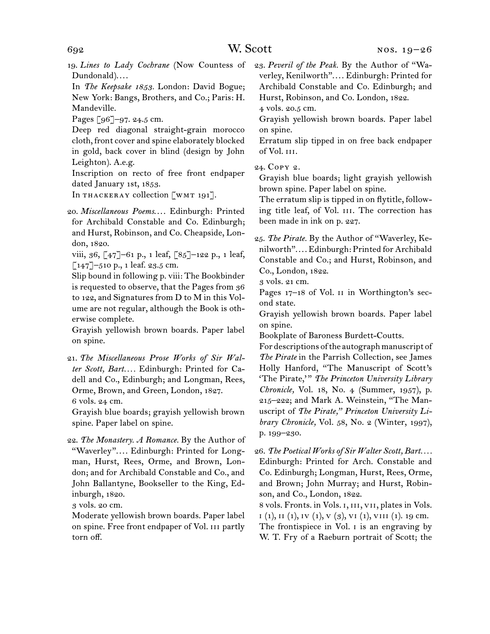19. *Lines to Lady Cochrane* (Now Countess of Dundonald)....

In *The Keepsake 1853.* London: David Bogue; New York: Bangs, Brothers, and Co.; Paris: H. Mandeville.

Pages [96]–97. 24.5 cm.

Deep red diagonal straight-grain morocco cloth, front cover and spine elaborately blocked in gold, back cover in blind (design by John Leighton). A.e.g.

Inscription on recto of free front endpaper dated January 1st, 1853.

In THACKERAY collection [WMT 191].

20. *Miscellaneous Poems....* Edinburgh: Printed for Archibald Constable and Co. Edinburgh; and Hurst, Robinson, and Co. Cheapside, London, 1820.

viii, 36, [47]–61 p., 1 leaf, [85]–122 p., 1 leaf,  $\lceil 147 \rceil$ –510 p., 1 leaf. 23.5 cm.

Slip bound in following p. viii: The Bookbinder is requested to observe, that the Pages from 36 to 122, and Signatures from D to M in this Volume are not regular, although the Book is otherwise complete.

Grayish yellowish brown boards. Paper label on spine.

Grayish blue boards; grayish yellowish brown spine. Paper label on spine.

22. *The Monastery. A Romance.* By the Author of "Waverley".... Edinburgh: Printed for Longman, Hurst, Rees, Orme, and Brown, London; and for Archibald Constable and Co., and John Ballantyne, Bookseller to the King, Edinburgh, 1820.

3 vols. 20 cm.

Moderate yellowish brown boards. Paper label on spine. Free front endpaper of Vol. iii partly torn off.

23. *Peveril of the Peak.* By the Author of "Waverley, Kenilworth".... Edinburgh: Printed for Archibald Constable and Co. Edinburgh; and Hurst, Robinson, and Co. London, 1822.

4 vols. 20.5 cm.

Grayish yellowish brown boards. Paper label on spine.

Erratum slip tipped in on free back endpaper of Vol. iii.

24. Copy 2.

Grayish blue boards; light grayish yellowish brown spine. Paper label on spine.

The erratum slip is tipped in on flytitle, following title leaf, of Vol. III. The correction has been made in ink on p. 227.

25. *The Pirate.* By the Author of "Waverley, Kenilworth". . . . Edinburgh: Printed for Archibald Constable and Co.; and Hurst, Robinson, and Co., London, 1822.

3 vols. 21 cm.

Pages 17–18 of Vol. II in Worthington's second state.

Grayish yellowish brown boards. Paper label on spine.

Bookplate of Baroness Burdett-Coutts.

For descriptions of the autograph manuscript of *The Pirate* in the Parrish Collection, see James Holly Hanford, "The Manuscript of Scott's "The Pirate," The Princeton University Library *Chronicle,* Vol. 18, No. 4 (Summer, 1957), p. 215–222; and Mark A. Weinstein, "The Manuscript of *The Pirate," Princeton University Library Chronicle,* Vol. 58, No. 2 (Winter, 1997), p. 199–230.

26. *The Poetical Works of Sir Walter Scott, Bart. . . .* Edinburgh: Printed for Arch. Constable and Co. Edinburgh; Longman, Hurst, Rees, Orme, and Brown; John Murray; and Hurst, Robinson, and Co., London, 1822.

8 vols. Fronts. in Vols. i, iii, vii, plates in Vols.  $i$  (1),  $ii$  (1),  $iv$  (1),  $v$  (3),  $vi$  (1),  $v$  $ii$ , (1). 19 cm. The frontispiece in Vol. I is an engraving by W. T. Fry of a Raeburn portrait of Scott; the

<sup>21.</sup> *The Miscellaneous Prose Works of Sir Walter Scott, Bart. . . .* Edinburgh: Printed for Cadell and Co., Edinburgh; and Longman, Rees, Orme, Brown, and Green, London, 1827. 6 vols. 24 cm.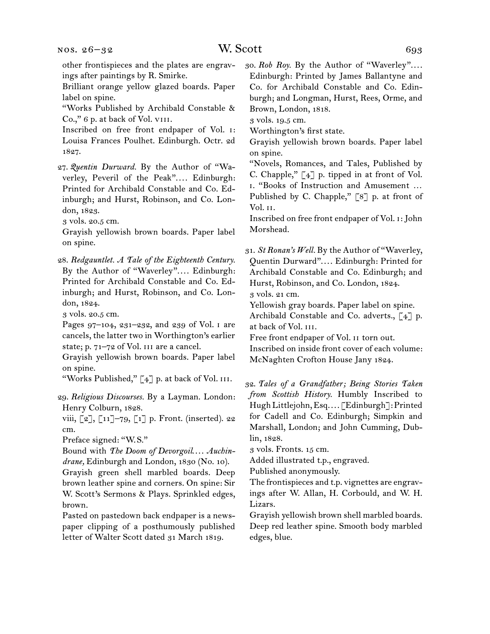Brilliant orange yellow glazed boards. Paper label on spine.

"Works Published by Archibald Constable & Co.," 6 p. at back of Vol. VIII.

Inscribed on free front endpaper of Vol. i: Louisa Frances Poulhet. Edinburgh. Octr. 2d 1827.

27. *Quentin Durward.* By the Author of "Waverley, Peveril of the Peak".... Edinburgh: Printed for Archibald Constable and Co. Edinburgh; and Hurst, Robinson, and Co. London, 1823.

3 vols. 20.5 cm.

Grayish yellowish brown boards. Paper label on spine.

28. *Redgauntlet. A Tale of the Eighteenth Century.* By the Author of "Waverley".... Edinburgh: Printed for Archibald Constable and Co. Edinburgh; and Hurst, Robinson, and Co. London, 1824.

3 vols. 20.5 cm.

Pages 97–104, 231–232, and 239 of Vol. i are cancels, the latter two in Worthington's earlier state; p. 71-72 of Vol. III are a cancel.

Grayish yellowish brown boards. Paper label on spine.

"Works Published,"  $\lceil 4 \rceil$  p. at back of Vol. III.

29. *Religious Discourses.* By a Layman. London: Henry Colburn, 1828.

viii, [2], [11]–79, [1] p. Front. (inserted). 22 cm.

Preface signed: "W.S."

Bound with *The Doom of Devorgoil.... Auchindrane,* Edinburgh and London, 1830 (No. 10).

Grayish green shell marbled boards. Deep brown leather spine and corners. On spine: Sir W. Scott's Sermons & Plays. Sprinkled edges, brown.

Pasted on pastedown back endpaper is a newspaper clipping of a posthumously published letter of Walter Scott dated 31 March 1819.

30. Rob Roy. By the Author of "Waverley".... Edinburgh: Printed by James Ballantyne and Co. for Archibald Constable and Co. Edinburgh; and Longman, Hurst, Rees, Orme, and Brown, London, 1818.

3 vols. 19.5 cm.

Worthington's first state.

Grayish yellowish brown boards. Paper label on spine.

"Novels, Romances, and Tales, Published by C. Chapple," [4] p. tipped in at front of Vol. i. "Books of Instruction and Amusement … Published by C. Chapple," [8] p. at front of Vol. ii.

Inscribed on free front endpaper of Vol. i: John Morshead.

31. *St Ronan's Well.* By the Author of "Waverley, Quentin Durward".... Edinburgh: Printed for Archibald Constable and Co. Edinburgh; and Hurst, Robinson, and Co. London, 1824. 3 vols. 21 cm.

Yellowish gray boards. Paper label on spine.

Archibald Constable and Co. adverts., [4] p. at back of Vol. iii.

Free front endpaper of Vol. ii torn out. Inscribed on inside front cover of each volume:

McNaghten Crofton House Jany 1824.

32. *Tales of a Grandfather; Being Stories Taken from Scottish History.* Humbly Inscribed to Hugh Littlejohn, Esq. . . . [Edinburgh]: Printed for Cadell and Co. Edinburgh; Simpkin and Marshall, London; and John Cumming, Dublin, 1828.

3 vols. Fronts. 15 cm.

Added illustrated t.p., engraved.

Published anonymously.

The frontispieces and t.p. vignettes are engravings after W. Allan, H. Corbould, and W. H. Lizars.

Grayish yellowish brown shell marbled boards. Deep red leather spine. Smooth body marbled edges, blue.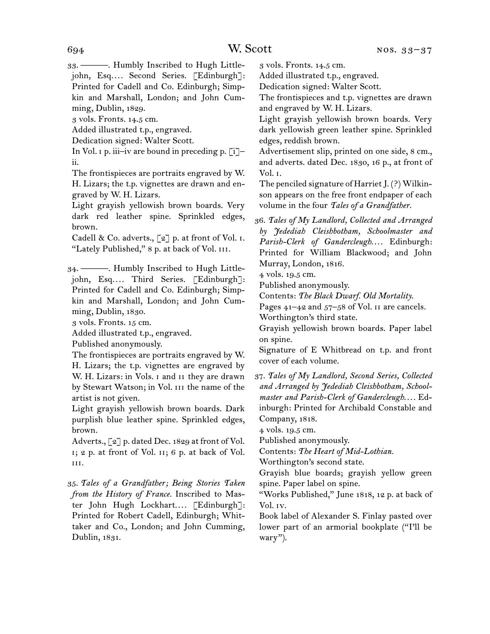33. ———. Humbly Inscribed to Hugh Littlejohn, Esq.... Second Series. [Edinburgh]: Printed for Cadell and Co. Edinburgh; Simpkin and Marshall, London; and John Cumming, Dublin, 1829.

3 vols. Fronts. 14.5 cm.

Added illustrated t.p., engraved.

Dedication signed: Walter Scott.

In Vol.  $\mu$  p. iii–iv are bound in preceding p. [i]– ii.

The frontispieces are portraits engraved by W. H. Lizars; the t.p. vignettes are drawn and engraved by W. H. Lizars.

Light grayish yellowish brown boards. Very dark red leather spine. Sprinkled edges, brown.

Cadell & Co. adverts.,  $\lceil 2 \rceil$  p. at front of Vol. I. "Lately Published," 8 p. at back of Vol. III.

34. ———. Humbly Inscribed to Hugh Littlejohn, Esq.... Third Series. [Edinburgh]: Printed for Cadell and Co. Edinburgh; Simpkin and Marshall, London; and John Cumming, Dublin, 1830.

3 vols. Fronts. 15 cm.

Added illustrated t.p., engraved.

Published anonymously.

The frontispieces are portraits engraved by W. H. Lizars; the t.p. vignettes are engraved by W. H. Lizars: in Vols. i and ii they are drawn by Stewart Watson; in Vol. III the name of the artist is not given.

Light grayish yellowish brown boards. Dark purplish blue leather spine. Sprinkled edges, brown.

Adverts., [2] p. dated Dec. 1829 at front of Vol. i; 2 p. at front of Vol. ii; 6 p. at back of Vol. iii.

35. *Tales of a Grandfather; Being Stories Taken from the History of France.* Inscribed to Master John Hugh Lockhart.... [Edinburgh]: Printed for Robert Cadell, Edinburgh; Whittaker and Co., London; and John Cumming, Dublin, 1831.

3 vols. Fronts. 14.5 cm.

Added illustrated t.p., engraved.

Dedication signed: Walter Scott.

The frontispieces and t.p. vignettes are drawn and engraved by W. H. Lizars.

Light grayish yellowish brown boards. Very dark yellowish green leather spine. Sprinkled edges, reddish brown.

Advertisement slip, printed on one side, 8 cm., and adverts. dated Dec. 1830, 16 p., at front of Vol. i.

The penciled signature of Harriet J. (?) Wilkinson appears on the free front endpaper of each volume in the four *Tales of a Grandfather.*

36. *Tales of My Landlord, Collected and Arranged by Jedediah Cleishbotham, Schoolmaster and*  Parish-Clerk of Gandercleugh.... Edinburgh: Printed for William Blackwood; and John Murray, London, 1816.

4 vols. 19.5 cm.

Published anonymously.

Contents: *The Black Dwarf. Old Mortality.*

Pages 41–42 and 57–58 of Vol. ii are cancels.

Worthington's third state.

Grayish yellowish brown boards. Paper label on spine.

Signature of E Whitbread on t.p. and front cover of each volume.

37. *Tales of My Landlord, Second Series, Collected and Arranged by Jedediah Cleishbotham, Schoolmaster and Parish-Clerk of Gandercleugh*. . . . Edinburgh: Printed for Archibald Constable and Company, 1818.

4 vols. 19.5 cm.

Published anonymously.

Contents: *The Heart of Mid-Lothian.*

Worthington's second state.

Grayish blue boards; grayish yellow green spine. Paper label on spine.

"Works Published," June 1818, 12 p. at back of Vol. iv.

Book label of Alexander S. Finlay pasted over lower part of an armorial bookplate ("I'll be wary").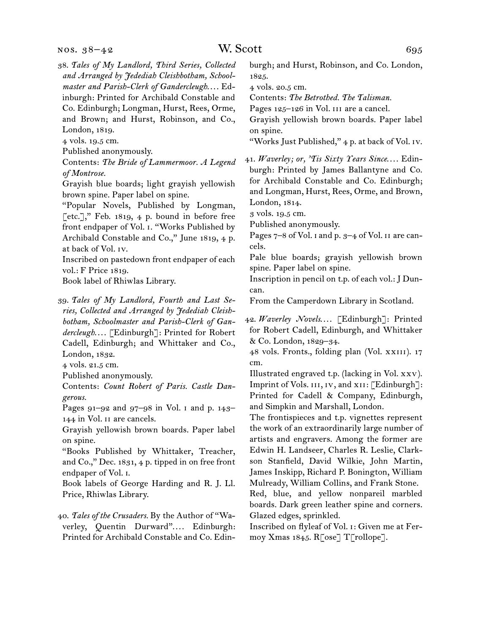nos. 38–42

38. *Tales of My Landlord, Third Series, Collected and Arranged by Jedediah Cleishbotham, Schoolmaster and Parish-Clerk of Gandercleugh....* Edinburgh: Printed for Archibald Constable and Co. Edinburgh; Longman, Hurst, Rees, Orme, and Brown; and Hurst, Robinson, and Co., London, 1819.

4 vols. 19.5 cm.

Published anonymously.

Contents: *The Bride of Lammermoor. A Legend of Montrose.*

Grayish blue boards; light grayish yellowish brown spine. Paper label on spine.

"Popular Novels, Published by Longman,  $[etc.]]$ ," Feb. 1819, 4 p. bound in before free front endpaper of Vol. i. "Works Published by Archibald Constable and Co.," June 1819, 4 p. at back of Vol. iv.

Inscribed on pastedown front endpaper of each vol.: F Price 1819.

Book label of Rhiwlas Library.

39. *Tales of My Landlord, Fourth and Last Series, Collected and Arranged by Jedediah Cleishbotham, Schoolmaster and Parish-Clerk of Gan*dercleugh.... [Edinburgh]: Printed for Robert Cadell, Edinburgh; and Whittaker and Co., London, 1832.

4 vols. 21.5 cm.

Published anonymously.

Contents: *Count Robert of Paris. Castle Dangerous.*

Pages 91–92 and 97–98 in Vol. i and p. 143– 144 in Vol. ii are cancels.

Grayish yellowish brown boards. Paper label on spine.

"Books Published by Whittaker, Treacher, and Co.," Dec. 1831, 4 p. tipped in on free front endpaper of Vol. i.

Book labels of George Harding and R. J. Ll. Price, Rhiwlas Library.

40. *Tales of the Crusaders.* By the Author of "Waverley, Quentin Durward".... Edinburgh: Printed for Archibald Constable and Co. Edinburgh; and Hurst, Robinson, and Co. London, 1825.

4 vols. 20.5 cm.

Contents: *The Betrothed. The Talisman.*

Pages 125–126 in Vol. III are a cancel.

Grayish yellowish brown boards. Paper label on spine.

"Works Just Published," 4 p. at back of Vol. iv.

41. *Waverley; or, 'Tis Sixty Years Since*. . . . Edinburgh: Printed by James Ballantyne and Co. for Archibald Constable and Co. Edinburgh; and Longman, Hurst, Rees, Orme, and Brown, London, 1814.

3 vols. 19.5 cm.

Published anonymously.

Pages 7-8 of Vol. I and p. 3-4 of Vol. II are cancels.

Pale blue boards; grayish yellowish brown spine. Paper label on spine.

Inscription in pencil on t.p. of each vol.: J Duncan.

From the Camperdown Library in Scotland.

42. Waverley Novels.... [Edinburgh]: Printed for Robert Cadell, Edinburgh, and Whittaker & Co. London, 1829–34.

48 vols. Fronts., folding plan (Vol. xxiii). 17 cm.

Illustrated engraved t.p. (lacking in Vol. xxv). Imprint of Vols. III, IV, and XII: [Edinburgh]: Printed for Cadell & Company, Edinburgh, and Simpkin and Marshall, London.

The frontispieces and t.p. vignettes represent the work of an extraordinarily large number of artists and engravers. Among the former are Edwin H. Landseer, Charles R. Leslie, Clarkson Stanfield, David Wilkie, John Martin, James Inskipp, Richard P. Bonington, William Mulready, William Collins, and Frank Stone. Red, blue, and yellow nonpareil marbled boards. Dark green leather spine and corners.

Glazed edges, sprinkled.

Inscribed on flyleaf of Vol. i: Given me at Fermoy Xmas 1845. R[ose] T[rollope].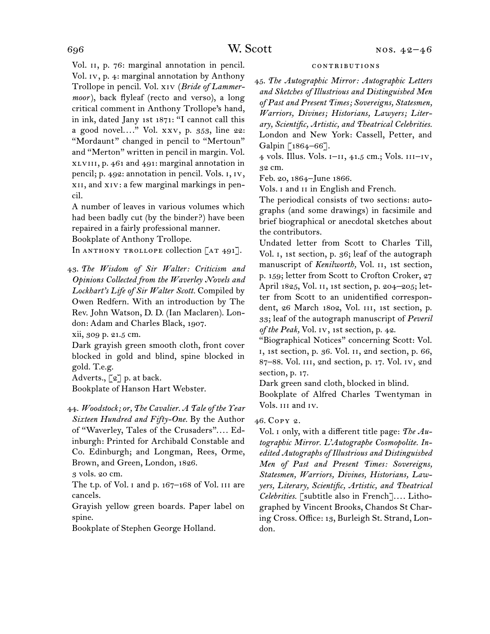Vol. 11, p. 76: marginal annotation in pencil. Vol. iv, p. 4: marginal annotation by Anthony Trollope in pencil. Vol. xiv (*Bride of Lammermoor*), back flyleaf (recto and verso), a long critical comment in Anthony Trollope's hand, in ink, dated Jany 1st 1871: "I cannot call this a good novel...." Vol. xxv, p. 353, line 22: "Mordaunt" changed in pencil to "Mertoun" and "Merton" written in pencil in margin. Vol. xlviii, p. 461 and 491: marginal annotation in pencil; p. 492: annotation in pencil. Vols. i, iv, xii, and xiv: a few marginal markings in pencil.

A number of leaves in various volumes which had been badly cut (by the binder?) have been repaired in a fairly professional manner.

Bookplate of Anthony Trollope.

In ANTHONY TROLLOPE collection [AT 491].

43. *The Wisdom of Sir Walter: Criticism and Opinions Collected from the Waverley Novels and Lockhart's Life of Sir Walter Scott.* Compiled by Owen Redfern. With an introduction by The Rev. John Watson, D. D. (Ian Maclaren). London: Adam and Charles Black, 1907.

xii, 309 p. 21.5 cm.

Dark grayish green smooth cloth, front cover blocked in gold and blind, spine blocked in gold. T.e.g.

Adverts., [2] p. at back.

Bookplate of Hanson Hart Webster.

44. *Woodstock; or, The Cavalier. A Tale of the Year Sixteen Hundred and Fifty-One.* By the Author of "Waverley, Tales of the Crusaders".... Edinburgh: Printed for Archibald Constable and Co. Edinburgh; and Longman, Rees, Orme, Brown, and Green, London, 1826.

3 vols. 20 cm.

The t.p. of Vol. I and p. 167-168 of Vol. III are cancels.

Grayish yellow green boards. Paper label on spine.

Bookplate of Stephen George Holland.

#### contributions

45. *The Autographic Mirror: Autographic Letters and Sketches of Illustrious and Distinguished Men of Past and Present Times; Sovereigns, Statesmen, Warriors, Divines; Historians, Lawyers; Literary, Scientific, Artistic, and Theatrical Celebrities.*  London and New York: Cassell, Petter, and Galpin [1864–66].

4 vols. Illus. Vols. i–ii, 41.5 cm.; Vols. iii–iv, 32 cm.

Feb. 20, 1864–June 1866.

Vols. i and ii in English and French.

The periodical consists of two sections: autographs (and some drawings) in facsimile and brief biographical or anecdotal sketches about the contributors.

Undated letter from Scott to Charles Till, Vol. i, 1st section, p. 36; leaf of the autograph manuscript of *Kenilworth,* Vol. ii, 1st section, p. 159; letter from Scott to Crofton Croker, 27 April 1825, Vol. ii, 1st section, p. 204–205; letter from Scott to an unidentified correspondent, 26 March 1802, Vol. III, 1st section, p. 33; leaf of the autograph manuscript of *Peveril of the Peak,* Vol. iv, 1st section, p. 42.

"Biographical Notices" concerning Scott: Vol. i, 1st section, p. 36. Vol. ii, 2nd section, p. 66, 87–88. Vol. iii, 2nd section, p. 17. Vol. iv, 2nd section, p. 17.

Dark green sand cloth, blocked in blind.

Bookplate of Alfred Charles Twentyman in Vols. iii and iv.

### 46. Copy 2.

Vol. i only, with a different title page: *The Autographic Mirror. L'Autographe Cosmopolite. Inedited Autographs of Illustrious and Distinguished Men of Past and Present Times: Sovereigns, Statesmen, Warriors, Divines, Historians, Lawyers, Literary, Scientific, Artistic, and Theatrical Celebrities.* [subtitle also in French].... Lithographed by Vincent Brooks, Chandos St Charing Cross. Office: 13, Burleigh St. Strand, London.